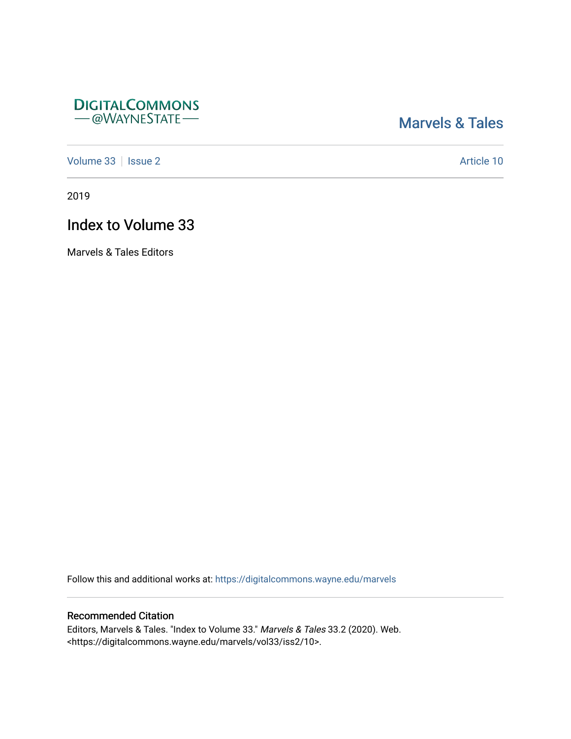## **DIGITALCOMMONS** - @WAYNESTATE-

## [Marvels & Tales](https://digitalcommons.wayne.edu/marvels)

[Volume 33](https://digitalcommons.wayne.edu/marvels/vol33) | [Issue 2](https://digitalcommons.wayne.edu/marvels/vol33/iss2) Article 10

2019

# Index to Volume 33

Marvels & Tales Editors

Follow this and additional works at: [https://digitalcommons.wayne.edu/marvels](https://digitalcommons.wayne.edu/marvels?utm_source=digitalcommons.wayne.edu%2Fmarvels%2Fvol33%2Fiss2%2F10&utm_medium=PDF&utm_campaign=PDFCoverPages) 

### Recommended Citation

Editors, Marvels & Tales. "Index to Volume 33." Marvels & Tales 33.2 (2020). Web. <https://digitalcommons.wayne.edu/marvels/vol33/iss2/10>.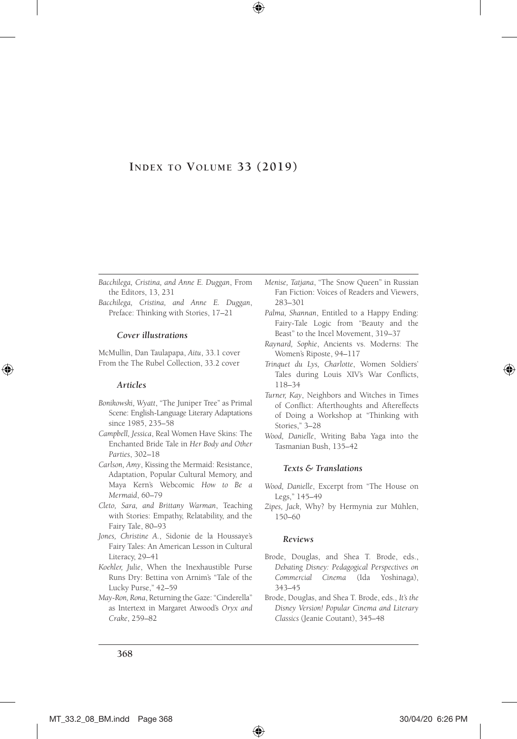### **Index to Volume 33 (2019)**

- *Bacchilega, Cristina, and Anne E. Duggan*, From the Editors, 13, 231
- *Bacchilega, Cristina, and Anne E. Duggan*, Preface: Thinking with Stories, 17–21

#### *Cover illustrations*

McMullin, Dan Taulapapa, *Aitu*, 33.1 cover From the The Rubel Collection, 33.2 cover

#### *Articles*

- *Bonikowski, Wyatt*, "The Juniper Tree" as Primal Scene: English-Language Literary Adaptations since 1985, 235–58
- *Campbell, Jessica*, Real Women Have Skins: The Enchanted Bride Tale in *Her Body and Other Parties*, 302–18
- *Carlson, Amy*, Kissing the Mermaid: Resistance, Adaptation, Popular Cultural Memory, and Maya Kern's Webcomic *How to Be a Mermaid*, 60–79
- *Cleto, Sara, and Brittany Warman*, Teaching with Stories: Empathy, Relatability, and the Fairy Tale, 80–93
- *Jones, Christine A.*, Sidonie de la Houssaye's Fairy Tales: An American Lesson in Cultural Literacy, 29–41
- *Koehler, Julie*, When the Inexhaustible Purse Runs Dry: Bettina von Arnim's "Tale of the Lucky Purse," 42–59
- *May-Ron, Rona*, Returning the Gaze: "Cinderella" as Intertext in Margaret Atwood's *Oryx and Crake*, 259–82
- *Menise, Tatjana*, "The Snow Queen" in Russian Fan Fiction: Voices of Readers and Viewers, 283–301
- *Palma, Shannan*, Entitled to a Happy Ending: Fairy-Tale Logic from "Beauty and the Beast" to the Incel Movement, 319–37
- *Raynard, Sophie*, Ancients vs. Moderns: The Women's Riposte, 94–117
- *Trinquet du Lys, Charlotte*, Women Soldiers' Tales during Louis XIV's War Conflicts, 118–34
- *Turner, Kay*, Neighbors and Witches in Times of Conflict: Afterthoughts and Aftereffects of Doing a Workshop at "Thinking with Stories," 3–28
- *Wood, Danielle*, Writing Baba Yaga into the Tasmanian Bush, 135–42

#### *Texts & Translations*

- *Wood, Danielle*, Excerpt from "The House on Legs," 145–49
- *Zipes, Jack*, Why? by Hermynia zur Mühlen, 150–60

#### *Reviews*

- Brode, Douglas, and Shea T. Brode, eds., *Debating Disney: Pedagogical Perspectives on Commercial Cinema* (Ida Yoshinaga), 343–45
- Brode, Douglas, and Shea T. Brode, eds., *It's the Disney Version! Popular Cinema and Literary Classics* (Jeanie Coutant), 345–48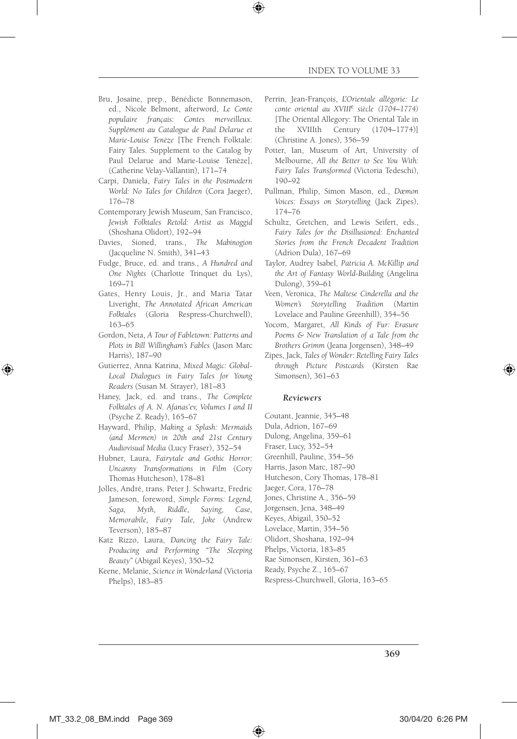- Bru, Josaine, prep., Bénédicte Bonnemason, ed., Nicole Belmont, afterword, *Le Conte populaire français: Contes merveilleux. Supplément au Catalogue de Paul Delarue et Marie-Louise Tenèze* [The French Folktale: Fairy Tales. Supplement to the Catalog by Paul Delarue and Marie-Louise Tenèze], (Catherine Velay-Vallantin), 171–74
- Carpi, Daniela, *Fairy Tales in the Postmodern World: No Tales for Children* (Cora Jaeger), 176–78
- Contemporary Jewish Museum, San Francisco, *Jewish Folktales Retold: Artist as Maggid* (Shoshana Olidort), 192–94
- Davies, Sioned, trans., *The Mabinogion* (Jacqueline N. Smith), 341–43
- Fudge, Bruce, ed. and trans., *A Hundred and One Nights* (Charlotte Trinquet du Lys), 169–71
- Gates, Henry Louis, Jr., and Maria Tatar Liveright, *The Annotated African American Folktales* (Gloria Respress-Churchwell), 163–65
- Gordon, Neta, *A Tour of Fabletown: Patterns and Plots in Bill Willingham's Fables* (Jason Marc Harris), 187–90
- Gutierrez, Anna Katrina, *Mixed Magic: Global-Local Dialogues in Fairy Tales for Young Readers* (Susan M. Strayer), 181–83
- Haney, Jack, ed. and trans., *The Complete Folktales of A. N. Afanas'ev, Volumes I and II* (Psyche Z. Ready), 165–67
- Hayward, Philip, *Making a Splash: Mermaids (and Mermen) in 20th and 21st Century Audiovisual Media* (Lucy Fraser), 352–54
- Hubner, Laura, *Fairytale and Gothic Horror: Uncanny Transformations in Film* (Cory Thomas Hutcheson), 178–81
- Jolles, André, trans. Peter J. Schwartz, Fredric Jameson, foreword, *Simple Forms: Legend, Saga, Myth, Riddle, Saying, Case, Memorabile, Fairy Tale, Joke* (Andrew Teverson), 185–87
- Katz Rizzo, Laura, *Dancing the Fairy Tale: Producing and Performing "The Sleeping Beauty"* (Abigail Keyes), 350–52
- Keene, Melanie, *Science in Wonderland* (Victoria Phelps), 183–85
- Perrin, Jean-François, *L'Orientale allégorie: Le conte oriental au XVIII*<sup>e</sup>  *siècle (1704–1774)* [The Oriental Allegory: The Oriental Tale in the XVIIIth Century (1704–1774)] (Christine A. Jones), 356–59
- Potter, Ian, Museum of Art, University of Melbourne, *All the Better to See You With: Fairy Tales Transformed* (Victoria Tedeschi), 190–92
- Pullman, Philip, Simon Mason, ed., *Dæmon Voices: Essays on Storytelling* (Jack Zipes), 174–76
- Schultz, Gretchen, and Lewis Seifert, eds., *Fairy Tales for the Disillusioned: Enchanted Stories from the French Decadent Tradition* (Adrion Dula), 167–69
- Taylor, Audrey Isabel, *Patricia A. McKillip and the Art of Fantasy World-Building* (Angelina Dulong), 359–61
- Veen, Veronica, *The Maltese Cinderella and the Women's Storytelling Tradition* (Martin Lovelace and Pauline Greenhill), 354–56
- Yocom, Margaret, *All Kinds of Fur: Erasure Poems & New Translation of a Tale from the Brothers Grimm* (Jeana Jorgensen), 348–49
- Zipes, Jack, *Tales of Wonder: Retelling Fairy Tales through Picture Postcards* (Kirsten Rae Simonsen), 361–63

#### *Reviewers*

- Coutant, Jeannie, 345–48
- Dula, Adrion, 167–69
- Dulong, Angelina, 359–61
- Fraser, Lucy, 352–54
- Greenhill, Pauline, 354–56
- Harris, Jason Marc, 187–90
- Hutcheson, Cory Thomas, 178–81
- Jaeger, Cora, 176–78
- Jones, Christine A., 356–59
- Jorgensen, Jena, 348–49
- Keyes, Abigail, 350–52
- Lovelace, Martin, 354–56
- Olidort, Shoshana, 192–94
- Phelps, Victoria, 183–85
- Rae Simonsen, Kirsten, 361–63
- Ready, Psyche Z., 165–67
- Respress-Churchwell, Gloria, 163–65